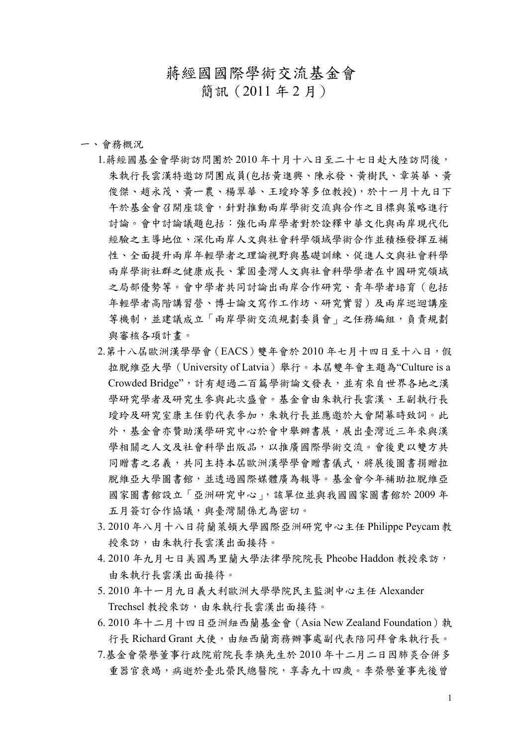## 蔣經國國際學術交流基金會

簡訊(2011 年 2 月)

## 一、會務概況

- 1.蔣經國基金會學術訪問團於 2010 年十月十八日至二十七日赴大陸訪問後, 朱執行長雲漢特邀訪問團成員(包括黃進興、陳永發、黃樹民、章英華、黃 俊傑、趙永茂、黃一農、楊翠華、王瑷玲等多位教授),於十一月十九日下 午於基金會召開座談會,針對推動兩岸學術交流與合作之目標與策略進行 討論。會中討論議題包括:強化兩岸學者對於詮釋中華文化與兩岸現代化 經驗之主導地位、深化兩岸人文與社會科學領域學術合作並積極發揮互補 性、全面提升兩岸年輕學者之理論視野與基礎訓練、促進人文與社會科學 兩岸學術社群之健康成長、鞏固臺灣人文與社會科學學者在中國研究領域 之局部優勢等。會中學者共同討論出兩岸合作研究、青年學者培育(包括 年輕學者高階講習營、博士論文寫作工作坊、研究實習)及兩岸巡迴講座 等機制,並建議成立「兩岸學術交流規劃委員會」之任務編組,負責規劃 與審核各項計畫。
- 2.第十八屆歐洲漢學學會(EACS)雙年會於 2010 年七月十四日至十八日,假 拉脫維亞大學(University of Latvia)舉行。本屆雙年會主題為"Culture is a Crowded Bridge",計有超過二百篇學術論文發表,並有來自世界各地之漢 學研究學者及研究生參與此次盛會。基金會由朱執行長雲漢、王副執行長 璦玲及研究室康主任豹代表參加,朱執行長並應邀於大會開幕時致詞。此 外,基金會亦贊助漢學研究中心於會中舉辦書展,展出臺灣近三年來與漢 學相關之人文及社會科學出版品,以推廣國際學術交流。會後更以雙方共 同贈書之名義,共同主持本屆歐洲漢學學會贈書儀式,將展後圖書捐贈拉 脫維亞大學圖書館,並透過國際媒體廣為報導。基金會今年補助拉脫維亞 國家圖書館設立「亞洲研究中心」,該單位並與我國國家圖書館於 2009 年 五月簽訂合作協議,與臺灣關係尤為密切。
- 3. 2010 年八月十八日荷蘭萊頓大學國際亞洲研究中心主任 Philippe Peycam 教 授來訪,由朱執行長雲漢出面接待。
- 4. 2010 年九月七日美國馬里蘭大學法律學院院長 Pheobe Haddon 教授來訪, 由朱執行長雲漢出面接待。
- 5. 2010 年十一月九日義大利歐洲大學學院民主監測中心主任 Alexander Trechsel 教授來訪,由朱執行長雲漢出面接待。
- 6. 2010 年十二月十四日亞洲紐西蘭基金會(Asia New Zealand Foundation)執 行長 Richard Grant 大使,由紐西蘭商務辦事處副代表陪同拜會朱執行長。
- 7.基金會榮譽董事行政院前院長李煥先生於 2010 年十二月二日因肺炎合併多 重器官衰竭,病逝於臺北榮民總醫院,享壽九十四歲。李榮譽董事先後曾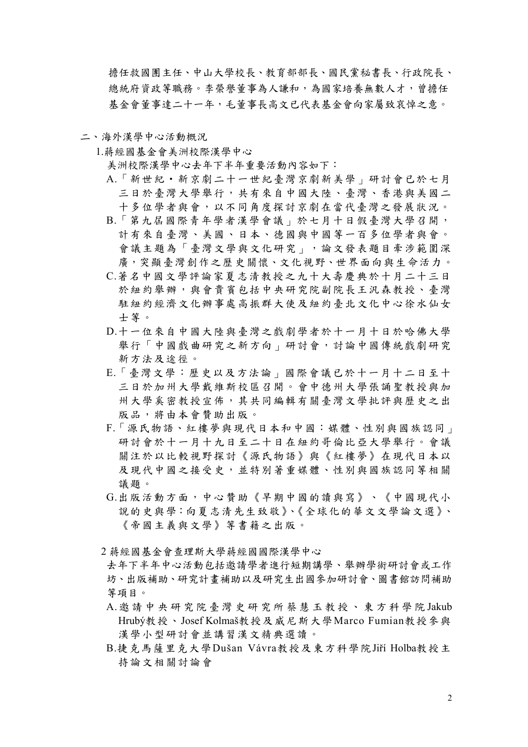擔任救國團主任、中山大學校長[、教育部部](http://tw.news.yahoo.com/article/url/d/a/101203/2/?)長、國民黨秘書長、行政院長、 總統府資政等職務。李榮譽董事為人謙和,為國家培養無數人才,曾擔任 基金會董事達二十一年,毛董事長高文已代表基金會向家屬致哀悼之意。

## 二、海外漢學中心活動概況

1.蔣經國基金會美洲校際漢學中心

美洲校際漢學中心去年下半年重要活動內容如下:

- A.「新世紀‧新京劇二十一世紀臺灣京劇新美學」研討會已於七月 三日於臺灣大學舉行,共有來自中國大陸、臺灣、香港與美國二 十多位學者與會,以不同角度探討京劇在當代臺灣之發展狀況。
- B.「第九屆國際青年學者漢學會議」於七月十日假臺灣大學召開, 計有來自臺灣、美國、日本、德國與中國等一百多位學者與會。 會議主題為「臺灣文學與文化研究」,論文發表題目牽涉範圍深 廣,突顯臺灣創作之歷史關懷、文化視野、世界面向與生命活力。
- C.著名中國文學評論家夏志清教授之九十大壽慶典於十月二十三日 於紐約舉辦,與會貴賓包括中央研究院副院長王汎森教授、臺灣 駐紐約經濟文化辦事處高振群大使及紐約臺北文化中心徐水仙女 士等。
- D.十一位來自中國大陸與臺灣之戲劇學者於十一月十日於哈佛大學 舉行「中國戲曲研究之新方向」研討會,討論中國傳統戲劇研究 新方法及途徑。
- E.「臺灣文學:歷史以及方法論」國際會議已於十一月十二日至十 三日於加州大學戴維斯校區召開。會中德州大學張誦聖教授與加 州大學奚密教授宣佈,其共同編輯有關臺灣文學批評與歷史之出 版品,將由本會贊助出版。
- F.「源氏物語、紅樓夢與現代日本和中國:媒體、性別與國族認同」 研討會於十一月十九日至二十日在紐約哥倫比亞大學舉行。會議 關注於以比較視野探討《源氏物語》與《紅樓夢》在現代日本以 及現代中國之接受史,並特別著重媒體、性別與國族認同等相關 議題。
- G.出版活動方面,中心贊助《早期中國的讀與寫》、《中國現代小 說的史與學:向夏志清先生致敬》、《全球化的華文文學論文選》、 《帝國主義與文學》等書籍之出版。
- 2 蔣經國基金會查理斯大學蔣經國國際漢學中心
- 去年下半年中心活動包括邀請學者進行短期講學、舉辦學術研討會或工作 坊、出版補助、研究計畫補助以及研究生出國參加研討會、圖書館訪問補助 等項目。
- A.邀請中央研究院臺灣史研究所蔡慧 玉教授、東方科學院 Jakub Hrubý教授、Josef Kolmaš教授及威尼斯大學Marco Fumian教授參與 漢學小型研討會並講習漢文精典選讀。
- B.捷克馬薩里克大學Dušan Vávra教授及東方科學院Jiří Holba教授主 持論文相關討論會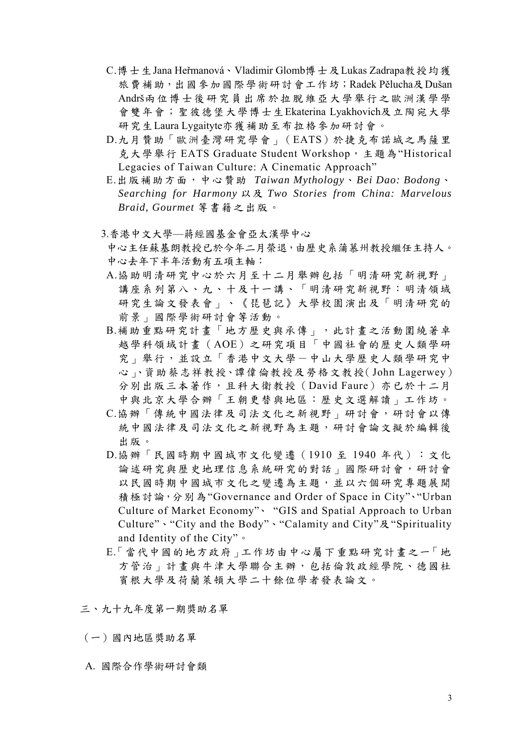- C.博士生Jana Heřmanová、Vladimir Glomb博士及Lukas Zadrapa教授均獲 旅費補助,出國參加國際學術研討會工作坊;Radek Pělucha及Dušan Andrš兩位博士後研究員出席於拉脫維亞大學舉行之歐洲漢學學 會雙年會;聖彼德堡大學博士生Ekaterina Lyakhovich及立陶宛大學 研究生Laura Lygaityte亦獲補助至布拉格參加研討會。
- D.九月贊助「歐洲臺灣研究學會」(EATS)於捷克布諾城之馬薩里 克大學舉行 EATS Graduate Student Workshop,主題為"Historical Legacies of Taiwan Culture: A Cinematic Approach"
- E.出版補助方面,中心贊助 *Taiwan Mythology*、*Bei Dao: Bodong*、 *Searching for Harmony* 以及 *Two Stories from China: Marvelous Braid, Gourmet* 等書籍之出版。
- 3.香港中文大學—蔣經國基金會亞太漢學中心
- 中心主任蘇基朗教授已於今年二月榮退,由歷史系蒲慕州教授繼任主持人。 中心去年下半年活動有五項主軸:
- A.協助明清研究中心於六月至十二月舉辦包括「明清研究新視野」 講座系列第八、九、十及十一講、「明清研究新視野:明清領域 研究生論文發表會」、《琵琶記》大學校園演出及「明清研究的 前景」國際學術研討會等活動。
- B.補助重點研究計畫「地方歷史與承傳」,此計畫之活動圍繞著卓 越學科領域計畫(AOE)之研究項目「中國社會的歷史人類學研 究 | 舉行,並設立「香港中文大學-中山大學歷史人類學研究中 心」、資助蔡志祥教授、譚偉倫教授及勞格文教授(John Lagerwey) 分別出版三本著作,且科大衛教授(David Faure)亦已於十二月 中與北京大學合辦「王朝更替與地區:歷史文選解讀」工作坊。
- C.協辦「傳統中國法律及司法文化之新視野」研討會,研討會以傳 統中國法律及司法文化之新視野為主題,研討會論文擬於編輯後 出版。
- D.協辦「民國時期中國城市文化變遷(1910 至 1940 年代):文化 論述研究與歷史地理信息系統研究的對話」國際研討會,研討會 以民國時期中國城市文化之變遷為主題,並以六個研究專題展開 積極討論,分別為"Governance and Order of Space in City"、"Urban Culture of Market Economy"、 "GIS and Spatial Approach to Urban Culture"、"City and the Body"、"Calamity and City"及"Spirituality and Identity of the City"。
- E.「當代中國的地方政府」工作坊由中心屬下重點研究計畫之一「地 方管治 | 計畫與牛津大學聯合主辦,包括倫敦政經學院、德國杜 賓根大學及荷蘭萊頓大學二十餘位學者發表論文。

三、九十九年度第一期獎助名單

- (一)國內地區獎助名單
- A. 國際合作學術研討會類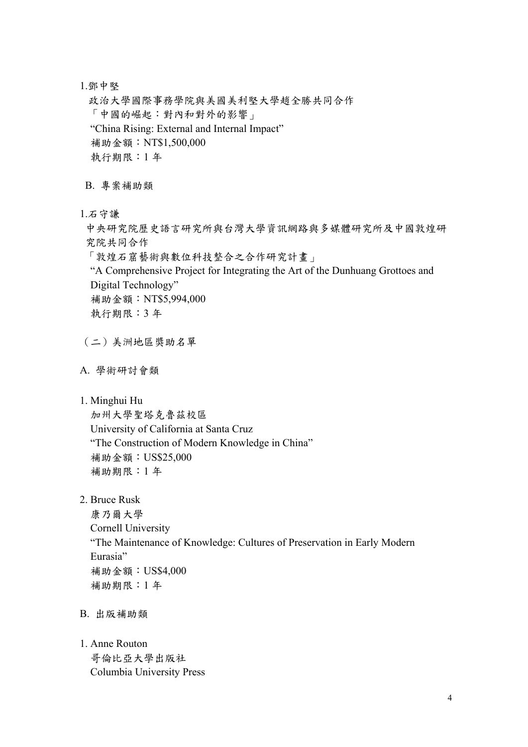1.鄧中堅

政治大學國際事務學院與美國美利堅大學趙全勝共同合作 「中國的崛起:對內和對外的影響」 "China Rising: External and Internal Impact" 補助金額:NT\$1,500,000 執行期限:1 年

B. 專案補助類

1.石守謙

中央研究院歷史語言研究所與台灣大學資訊網路與多媒體研究所及中國敦煌研 究院共同合作

「敦煌石窟藝術與數位科技整合之合作研究計畫」

 "A Comprehensive Project for Integrating the Art of the Dunhuang Grottoes and Digital Technology" 補助金額:NT\$5,994,000

執行期限:3 年

(二)美洲地區獎助名單

- A. 學術研討會類
- 1. Minghui Hu

 加州大學聖塔克魯茲校區 University of California at Santa Cruz "The Construction of Modern Knowledge in China" 補助金額:US\$25,000 補助期限:1 年

2. Bruce Rusk

 康乃爾大學 Cornell University "The Maintenance of Knowledge: Cultures of Preservation in Early Modern Eurasia" 補助金額:US\$4,000 補助期限:1 年

- B. 出版補助類
- 1. Anne Routon 哥倫比亞大學出版社 Columbia University Press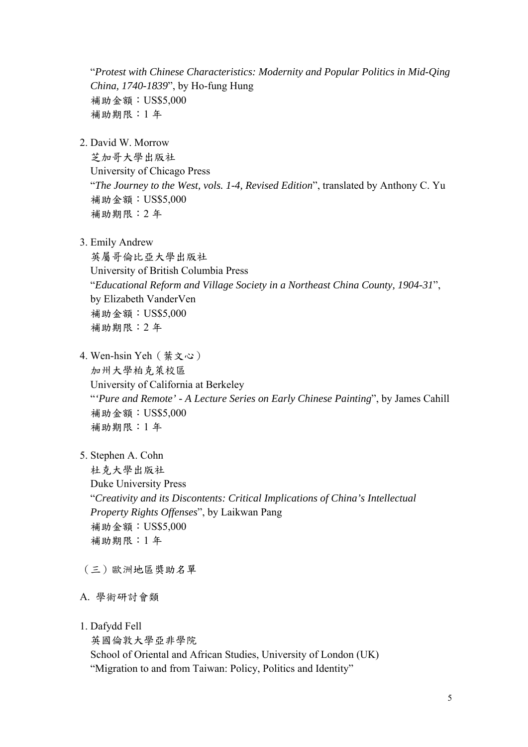"*Protest with Chinese Characteristics: Modernity and Popular Politics in Mid-Qing China, 1740-1839*", by Ho-fung Hung 補助金額:US\$5,000 補助期限:1 年

2. David W. Morrow

芝加哥大學出版社 University of Chicago Press "*The Journey to the West, vols. 1-4, Revised Edition*", translated by Anthony C. Yu 補助金額:US\$5,000 補助期限:2 年

3. Emily Andrew

 英屬哥倫比亞大學出版社 University of British Columbia Press "*Educational Reform and Village Society in a Northeast China County, 1904-31*", by Elizabeth VanderVen 補助金額:US\$5,000 補助期限:2 年

- 4. Wen-hsin Yeh(葉文心) 加州大學柏克萊校區 University of California at Berkeley "*'Pure and Remote' - A Lecture Series on Early Chinese Painting*", by James Cahill 補助金額:US\$5,000 補助期限:1 年
- 5. Stephen A. Cohn

 杜克大學出版社 Duke University Press "*Creativity and its Discontents: Critical Implications of China's Intellectual Property Rights Offenses*", by Laikwan Pang 補助金額:US\$5,000 補助期限:1 年

- (三)歐洲地區獎助名單
- A. 學術研討會類
- 1. Dafydd Fell

英國倫敦大學亞非學院

 School of Oriental and African Studies, University of London (UK) "Migration to and from Taiwan: Policy, Politics and Identity"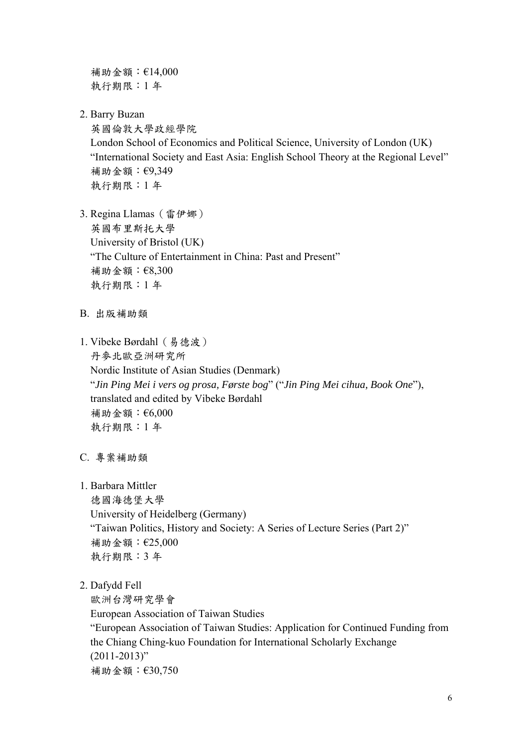補助金額:€14,000 執行期限:1 年

2. Barry Buzan

 英國倫敦大學政經學院 London School of Economics and Political Science, University of London (UK) "International Society and East Asia: English School Theory at the Regional Level" 補助金額:€9,349 執行期限:1 年

- 3. Regina Llamas(雷伊娜) 英國布里斯托大學 University of Bristol (UK) "The Culture of Entertainment in China: Past and Present" 補助金額:€8,300 執行期限:1 年
- B. 出版補助類
- 1. Vibeke Børdahl(易德波) 丹麥北歐亞洲研究所 Nordic Institute of Asian Studies (Denmark) "*Jin Ping Mei i vers og prosa, Første bog*" ("*Jin Ping Mei cihua, Book One*"), translated and edited by Vibeke Børdahl 補助金額:€6,000 執行期限:1 年
- C. 專案補助類
- 1. Barbara Mittler

 德國海德堡大學 University of Heidelberg (Germany) "Taiwan Politics, History and Society: A Series of Lecture Series (Part 2)" 補助金額:€25,000 執行期限:3 年

2. Dafydd Fell

歐洲台灣研究學會

European Association of Taiwan Studies

 "European Association of Taiwan Studies: Application for Continued Funding from the Chiang Ching-kuo Foundation for International Scholarly Exchange  $(2011 - 2013)$ " 補助金額:€30,750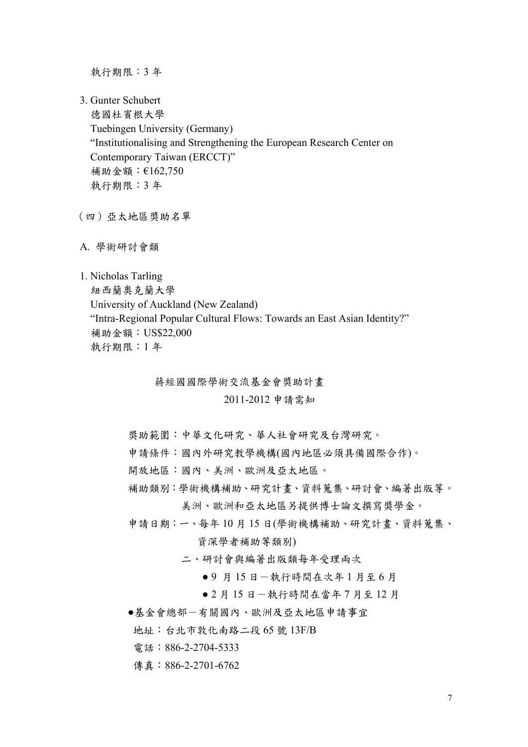執行期限:3 年

- 3. Gunter Schubert 德國杜賓根大學 Tuebingen University (Germany) "Institutionalising and Strengthening the European Research Center on Contemporary Taiwan (ERCCT)" 補助金額:€162,750 執行期限:3 年
- (四)亞太地區獎助名單
- A. 學術研討會類

1. Nicholas Tarling 紐西蘭奧克蘭大學 University of Auckland (New Zealand) "Intra-Regional Popular Cultural Flows: Towards an East Asian Identity?" 補助金額:US\$22,000 執行期限:1 年

蔣經國國際學術交流基金會獎助計畫

## 2011-2012 申請需知

- 獎助範圍:中華文化研究、華人社會研究及台灣研究。
- 申請條件:國內外研究教學機構(國內地區必須具備國際合作)。
- 開放地區:國內、美洲、歐洲及亞太地區。
- 補助類別:學術機構補助、研究計畫、資料蒐集、研討會、編著出版等。 美洲、歐洲和亞太地區另提供博士論文撰寫獎學金。
- 申請日期:一、每年 10 月 15 日(學術機構補助、研究計畫、資料蒐集、 資深學者補助等類別)
	- 二、研討會與編著出版類每年受理兩次
		- 9 月 15 日 一執行時間在次年 1 月至 6 月
		- 2 月 15 日 一執行時間在當年 7 月至 12 月
- ●基金會總部-有關國內、歐洲及亞太地區申請事宜
	- 地址:台北市敦化南路二段 65 號 13F/B
	- 電話:886-2-2704-5333
- 傳真: 886-2-2701-6762